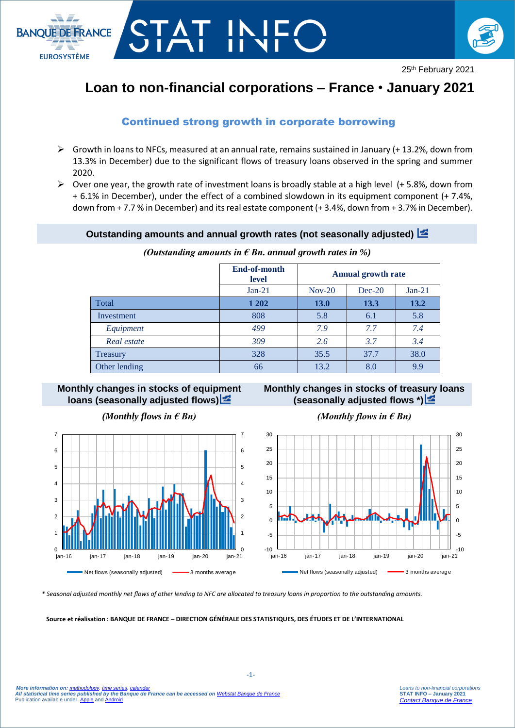



# **Loan to non-financial corporations – France** • **January 2021**

## Continued strong growth in corporate borrowing

T ||<br>T ||

- $\triangleright$  Growth in loans to NFCs, measured at an annual rate, remains sustained in January (+13.2%, down from 13.3% in December) due to the significant flows of treasury loans observed in the spring and summer 2020.
- $\triangleright$  Over one year, the growth rate of investment loans is broadly stable at a high level (+ 5.8%, down from + 6.1% in December), under the effect of a combined slowdown in its equipment component (+ 7.4%, down from + 7.7 % in December) and its real estate component (+ 3.4%, down from + 3.7% in December).

#### **Outstanding amounts and annual growth rates (not seasonally adjusted)**

| (Outstanding amounts in $\epsilon$ Bn. annual growth rates in %) |  |
|------------------------------------------------------------------|--|
|------------------------------------------------------------------|--|

|               | End-of-month<br>level | <b>Annual growth rate</b> |          |          |
|---------------|-----------------------|---------------------------|----------|----------|
|               | $Jan-21$              | $Nov-20$                  | $Dec-20$ | $Jan-21$ |
| Total         | 1 202                 | <b>13.0</b>               | 13.3     | 13.2     |
| Investment    | 808                   | 5.8                       | 6.1      | 5.8      |
| Equipment     | 499                   | 7.9                       | 7.7      | 7.4      |
| Real estate   | 309                   | 2.6                       | 3.7      | 3.4      |
| Treasury      | 328                   | 35.5                      | 37.7     | 38.0     |
| Other lending | 66                    | 13.2                      | 8.0      | 9.9      |

#### **Monthly changes in stocks of equipment loans (seasonally adjusted flows)**







*\* Seasonal adjusted monthly net flows of other lending to NFC are allocated to treasury loans in proportion to the outstanding amounts.*

**Source et réalisation : BANQUE DE FRANCE – DIRECTION GÉNÉRALE DES STATISTIQUES, DES ÉTUDES ET DE L'INTERNATIONAL**